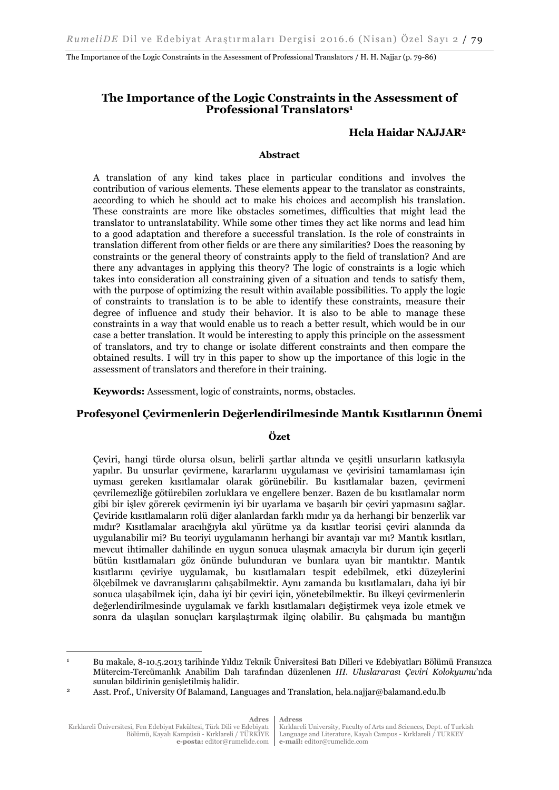The Importance of the Logic Constraints in the Assessment of Professional Translators / H. H. Najjar (p. 79-86)

## **The Importance of the Logic Constraints in the Assessment of Professional Translators<sup>1</sup>**

### **Hela Haidar NAJJAR<sup>2</sup>**

#### **Abstract**

A translation of any kind takes place in particular conditions and involves the contribution of various elements. These elements appear to the translator as constraints, according to which he should act to make his choices and accomplish his translation. These constraints are more like obstacles sometimes, difficulties that might lead the translator to untranslatability. While some other times they act like norms and lead him to a good adaptation and therefore a successful translation. Is the role of constraints in translation different from other fields or are there any similarities? Does the reasoning by constraints or the general theory of constraints apply to the field of translation? And are there any advantages in applying this theory? The logic of constraints is a logic which takes into consideration all constraining given of a situation and tends to satisfy them, with the purpose of optimizing the result within available possibilities. To apply the logic of constraints to translation is to be able to identify these constraints, measure their degree of influence and study their behavior. It is also to be able to manage these constraints in a way that would enable us to reach a better result, which would be in our case a better translation. It would be interesting to apply this principle on the assessment of translators, and try to change or isolate different constraints and then compare the obtained results. I will try in this paper to show up the importance of this logic in the assessment of translators and therefore in their training.

**Keywords:** Assessment, logic of constraints, norms, obstacles.

#### **Profesyonel Çevirmenlerin Değerlendirilmesinde Mantık Kısıtlarının Önemi**

#### **Özet**

Çeviri, hangi türde olursa olsun, belirli şartlar altında ve çeşitli unsurların katkısıyla yapılır. Bu unsurlar çevirmene, kararlarını uygulaması ve çevirisini tamamlaması için uyması gereken kısıtlamalar olarak görünebilir. Bu kısıtlamalar bazen, çevirmeni çevrilemezliğe götürebilen zorluklara ve engellere benzer. Bazen de bu kısıtlamalar norm gibi bir işlev görerek çevirmenin iyi bir uyarlama ve başarılı bir çeviri yapmasını sağlar. Çeviride kısıtlamaların rolü diğer alanlardan farklı mıdır ya da herhangi bir benzerlik var mıdır? Kısıtlamalar aracılığıyla akıl yürütme ya da kısıtlar teorisi çeviri alanında da uygulanabilir mi? Bu teoriyi uygulamanın herhangi bir avantajı var mı? Mantık kısıtları, mevcut ihtimaller dahilinde en uygun sonuca ulaşmak amacıyla bir durum için geçerli bütün kısıtlamaları göz önünde bulunduran ve bunlara uyan bir mantıktır. Mantık kısıtlarını çeviriye uygulamak, bu kısıtlamaları tespit edebilmek, etki düzeylerini ölçebilmek ve davranışlarını çalışabilmektir. Aynı zamanda bu kısıtlamaları, daha iyi bir sonuca ulaşabilmek için, daha iyi bir çeviri için, yönetebilmektir. Bu ilkeyi çevirmenlerin değerlendirilmesinde uygulamak ve farklı kısıtlamaları değiştirmek veya izole etmek ve sonra da ulaşılan sonuçları karşılaştırmak ilginç olabilir. Bu çalışmada bu mantığın

 $\overline{a}$ 

Kırklareli University, Faculty of Arts and Sciences, Dept. of Turkish Language and Literature, Kayalı Campus - Kırklareli / TURKEY **e-mail:** editor@rumelide.com

<sup>1</sup> Bu makale, 8-10.5.2013 tarihinde Yıldız Teknik Üniversitesi Batı Dilleri ve Edebiyatları Bölümü Fransızca Mütercim-Tercümanlık Anabilim Dalı tarafından düzenlenen *III. Uluslararası Çeviri Kolokyumu*'nda sunulan bildirinin genişletilmiş halidir.

<sup>2</sup> Asst. Prof., University Of Balamand, Languages and Translation, hela.najjar@balamand.edu.lb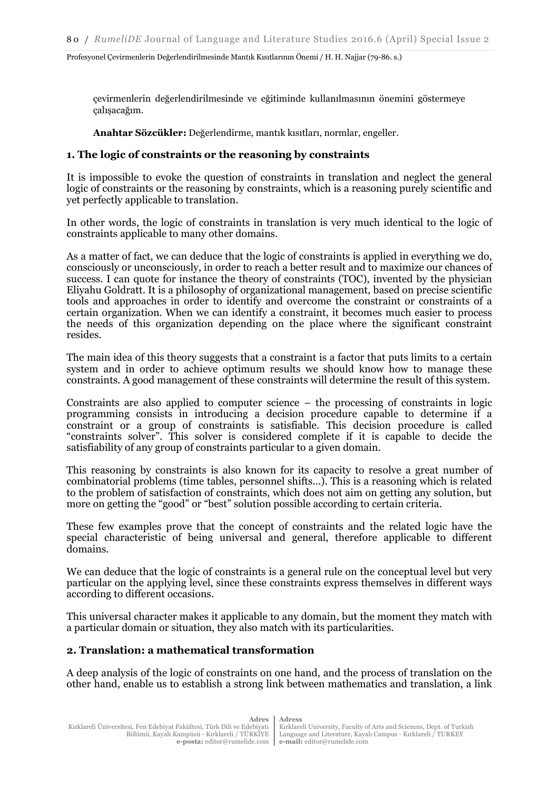çevirmenlerin değerlendirilmesinde ve eğitiminde kullanılmasının önemini göstermeye çalışacağım.

**Anahtar Sözcükler:** Değerlendirme, mantık kısıtları, normlar, engeller.

## **1. The logic of constraints or the reasoning by constraints**

It is impossible to evoke the question of constraints in translation and neglect the general logic of constraints or the reasoning by constraints, which is a reasoning purely scientific and yet perfectly applicable to translation.

In other words, the logic of constraints in translation is very much identical to the logic of constraints applicable to many other domains.

As a matter of fact, we can deduce that the logic of constraints is applied in everything we do, consciously or unconsciously, in order to reach a better result and to maximize our chances of success. I can quote for instance the theory of constraints (TOC), invented by the physician Eliyahu Goldratt. It is a philosophy of organizational management, based on precise scientific tools and approaches in order to identify and overcome the constraint or constraints of a certain organization. When we can identify a constraint, it becomes much easier to process the needs of this organization depending on the place where the significant constraint resides.

The main idea of this theory suggests that a constraint is a factor that puts limits to a certain system and in order to achieve optimum results we should know how to manage these constraints. A good management of these constraints will determine the result of this system.

Constraints are also applied to computer science – the processing of constraints in logic programming consists in introducing a decision procedure capable to determine if a constraint or a group of constraints is satisfiable. This decision procedure is called "constraints solver". This solver is considered complete if it is capable to decide the satisfiability of any group of constraints particular to a given domain.

This reasoning by constraints is also known for its capacity to resolve a great number of combinatorial problems (time tables, personnel shifts...). This is a reasoning which is related to the problem of satisfaction of constraints, which does not aim on getting any solution, but more on getting the "good" or "best" solution possible according to certain criteria.

These few examples prove that the concept of constraints and the related logic have the special characteristic of being universal and general, therefore applicable to different domains.

We can deduce that the logic of constraints is a general rule on the conceptual level but very particular on the applying level, since these constraints express themselves in different ways according to different occasions.

This universal character makes it applicable to any domain, but the moment they match with a particular domain or situation, they also match with its particularities.

### **2. Translation: a mathematical transformation**

A deep analysis of the logic of constraints on one hand, and the process of translation on the other hand, enable us to establish a strong link between mathematics and translation, a link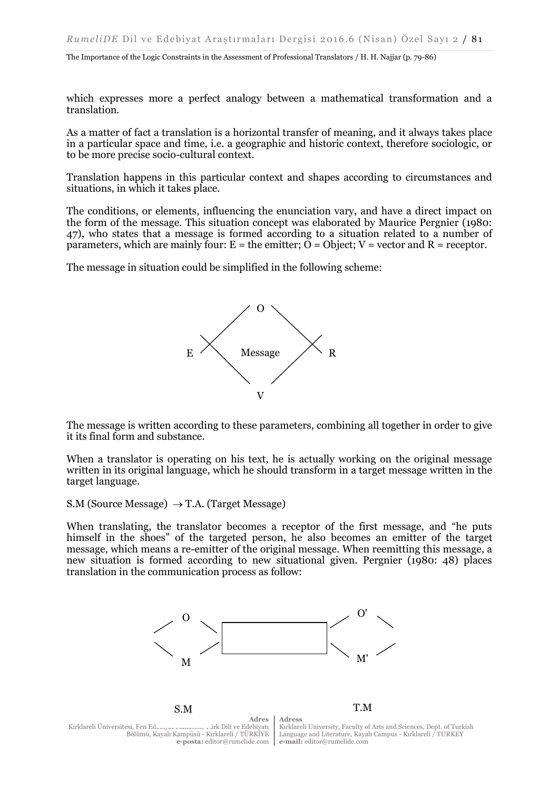The Importance of the Logic Constraints in the Assessment of Professional Translators / H. H. Najjar (p. 79-86)

which expresses more a perfect analogy between a mathematical transformation and a translation.

As a matter of fact a translation is a horizontal transfer of meaning, and it always takes place in a particular space and time, i.e. a geographic and historic context, therefore sociologic, or to be more precise socio-cultural context.

Translation happens in this particular context and shapes according to circumstances and situations, in which it takes place.

The conditions, or elements, influencing the enunciation vary, and have a direct impact on the form of the message. This situation concept was elaborated by Maurice Pergnier (1980: 47), who states that a message is formed according to a situation related to a number of parameters, which are mainly four:  $E =$  the emitter;  $\tilde{O} =$  Object;  $V =$  vector and  $R =$  receptor.

The message in situation could be simplified in the following scheme:



The message is written according to these parameters, combining all together in order to give it its final form and substance.

When a translator is operating on his text, he is actually working on the original message written in its original language, which he should transform in a target message written in the target language.

S.M (Source Message)  $\rightarrow$  T.A. (Target Message)

When translating, the translator becomes a receptor of the first message, and "he puts himself in the shoes" of the targeted person, he also becomes an emitter of the target message, which means a re-emitter of the original message. When reemitting this message, a new situation is formed according to new situational given. Pergnier (1980: 48) places translation in the communication process as follow:



**Adres** Kırklareli Üniversitesi, Fen Edebi Bölümü, Kayalı Kampüsü - Kırklareli / TÜRKİYE **e-posta:** editor@rumelide.com

Kırklareli University, Faculty of Arts and Sciences, Dept. of Turkish Language and Literature, Kayalı Campus - Kırklareli / TURKEY **e-mail:** editor@rumelide.com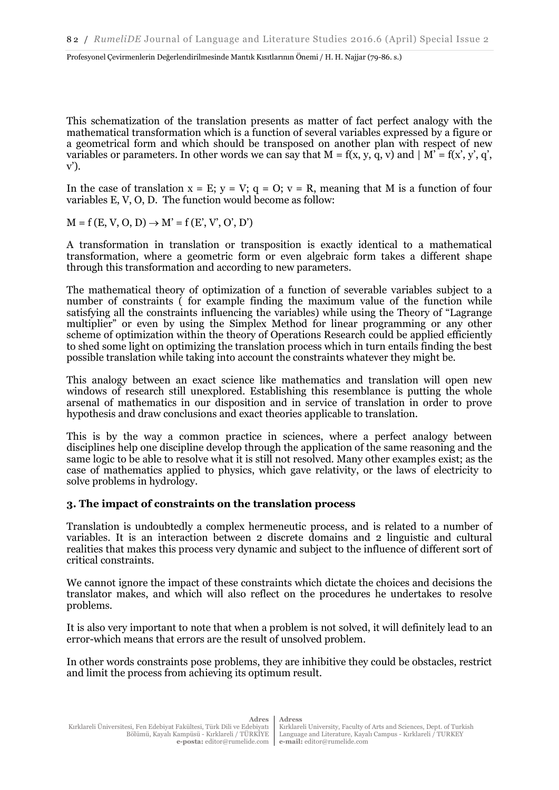This schematization of the translation presents as matter of fact perfect analogy with the mathematical transformation which is a function of several variables expressed by a figure or a geometrical form and which should be transposed on another plan with respect of new variables or parameters. In other words we can say that  $M = f(x, y, q, v)$  and  $|M' = f(x', y', q', w')$ v').

In the case of translation  $x = E$ ;  $y = V$ ;  $q = O$ ;  $v = R$ , meaning that M is a function of four variables E, V, O, D. The function would become as follow:

 $M = f(E, V, O, D) \rightarrow M' = f(E', V', O', D')$ 

A transformation in translation or transposition is exactly identical to a mathematical transformation, where a geometric form or even algebraic form takes a different shape through this transformation and according to new parameters.

The mathematical theory of optimization of a function of severable variables subject to a number of constraints ( for example finding the maximum value of the function while satisfying all the constraints influencing the variables) while using the Theory of "Lagrange multiplier" or even by using the Simplex Method for linear programming or any other scheme of optimization within the theory of Operations Research could be applied efficiently to shed some light on optimizing the translation process which in turn entails finding the best possible translation while taking into account the constraints whatever they might be.

This analogy between an exact science like mathematics and translation will open new windows of research still unexplored. Establishing this resemblance is putting the whole arsenal of mathematics in our disposition and in service of translation in order to prove hypothesis and draw conclusions and exact theories applicable to translation.

This is by the way a common practice in sciences, where a perfect analogy between disciplines help one discipline develop through the application of the same reasoning and the same logic to be able to resolve what it is still not resolved. Many other examples exist; as the case of mathematics applied to physics, which gave relativity, or the laws of electricity to solve problems in hydrology.

### **3. The impact of constraints on the translation process**

Translation is undoubtedly a complex hermeneutic process, and is related to a number of variables. It is an interaction between 2 discrete domains and 2 linguistic and cultural realities that makes this process very dynamic and subject to the influence of different sort of critical constraints.

We cannot ignore the impact of these constraints which dictate the choices and decisions the translator makes, and which will also reflect on the procedures he undertakes to resolve problems.

It is also very important to note that when a problem is not solved, it will definitely lead to an error-which means that errors are the result of unsolved problem.

In other words constraints pose problems, they are inhibitive they could be obstacles, restrict and limit the process from achieving its optimum result.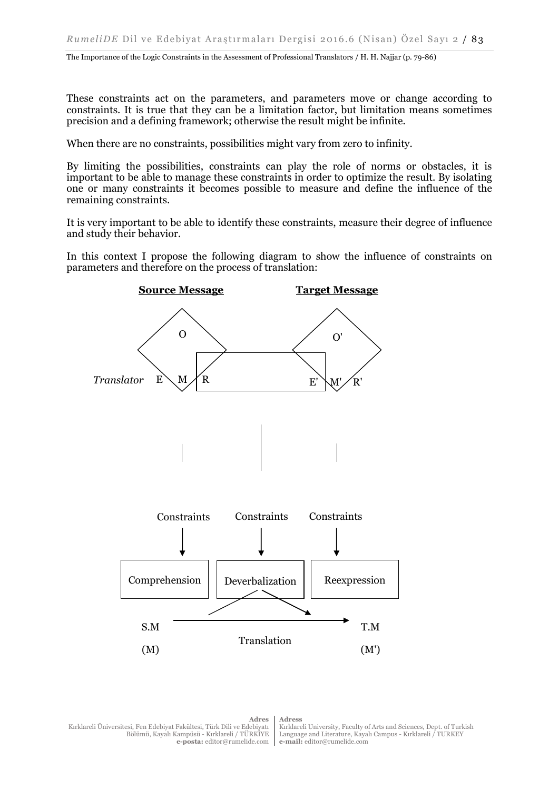The Importance of the Logic Constraints in the Assessment of Professional Translators / H. H. Najjar (p. 79-86)

These constraints act on the parameters, and parameters move or change according to constraints. It is true that they can be a limitation factor, but limitation means sometimes precision and a defining framework; otherwise the result might be infinite.

When there are no constraints, possibilities might vary from zero to infinity.

By limiting the possibilities, constraints can play the role of norms or obstacles, it is important to be able to manage these constraints in order to optimize the result. By isolating one or many constraints it becomes possible to measure and define the influence of the remaining constraints.

It is very important to be able to identify these constraints, measure their degree of influence and study their behavior.

In this context I propose the following diagram to show the influence of constraints on parameters and therefore on the process of translation:



**Adres** Kırklareli Üniversitesi, Fen Edebiyat Fakültesi, Türk Dili ve Edebiyatı Bölümü, Kayalı Kampüsü - Kırklareli / TÜRKİYE **e-posta:** editor@rumelide.com

Kırklareli University, Faculty of Arts and Sciences, Dept. of Turkish Language and Literature, Kayalı Campus - Kırklareli / TURKEY **e-mail:** editor@rumelide.com

**Adress**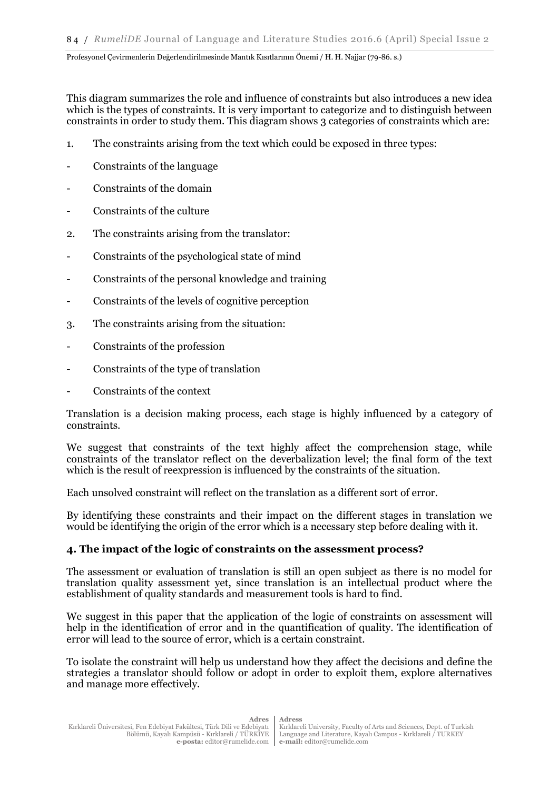This diagram summarizes the role and influence of constraints but also introduces a new idea which is the types of constraints. It is very important to categorize and to distinguish between constraints in order to study them. This diagram shows 3 categories of constraints which are:

- 1. The constraints arising from the text which could be exposed in three types:
- Constraints of the language
- Constraints of the domain
- Constraints of the culture
- 2. The constraints arising from the translator:
- Constraints of the psychological state of mind
- Constraints of the personal knowledge and training
- Constraints of the levels of cognitive perception
- 3. The constraints arising from the situation:
- Constraints of the profession
- Constraints of the type of translation
- Constraints of the context

Translation is a decision making process, each stage is highly influenced by a category of constraints.

We suggest that constraints of the text highly affect the comprehension stage, while constraints of the translator reflect on the deverbalization level; the final form of the text which is the result of reexpression is influenced by the constraints of the situation.

Each unsolved constraint will reflect on the translation as a different sort of error.

By identifying these constraints and their impact on the different stages in translation we would be identifying the origin of the error which is a necessary step before dealing with it.

# **4. The impact of the logic of constraints on the assessment process?**

The assessment or evaluation of translation is still an open subject as there is no model for translation quality assessment yet, since translation is an intellectual product where the establishment of quality standards and measurement tools is hard to find.

We suggest in this paper that the application of the logic of constraints on assessment will help in the identification of error and in the quantification of quality. The identification of error will lead to the source of error, which is a certain constraint.

To isolate the constraint will help us understand how they affect the decisions and define the strategies a translator should follow or adopt in order to exploit them, explore alternatives and manage more effectively.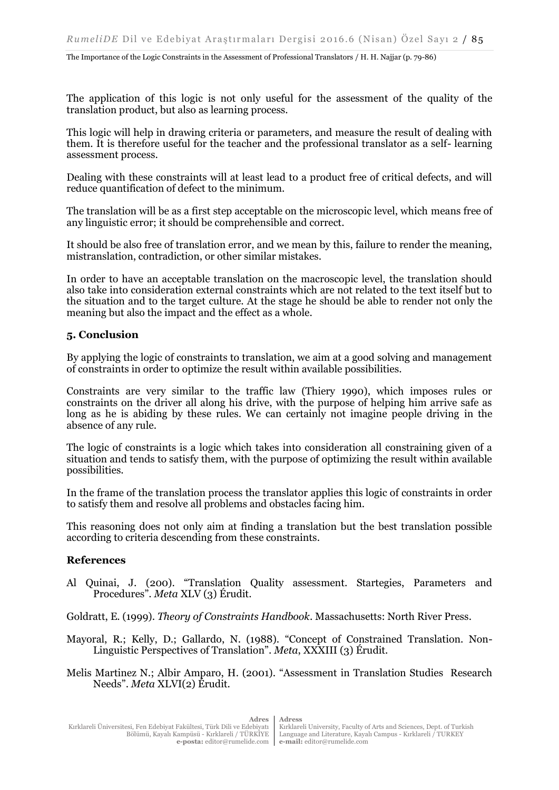The application of this logic is not only useful for the assessment of the quality of the translation product, but also as learning process.

This logic will help in drawing criteria or parameters, and measure the result of dealing with them. It is therefore useful for the teacher and the professional translator as a self- learning assessment process.

Dealing with these constraints will at least lead to a product free of critical defects, and will reduce quantification of defect to the minimum.

The translation will be as a first step acceptable on the microscopic level, which means free of any linguistic error; it should be comprehensible and correct.

It should be also free of translation error, and we mean by this, failure to render the meaning, mistranslation, contradiction, or other similar mistakes.

In order to have an acceptable translation on the macroscopic level, the translation should also take into consideration external constraints which are not related to the text itself but to the situation and to the target culture. At the stage he should be able to render not only the meaning but also the impact and the effect as a whole.

### **5. Conclusion**

By applying the logic of constraints to translation, we aim at a good solving and management of constraints in order to optimize the result within available possibilities.

Constraints are very similar to the traffic law (Thiery 1990), which imposes rules or constraints on the driver all along his drive, with the purpose of helping him arrive safe as long as he is abiding by these rules. We can certainly not imagine people driving in the absence of any rule.

The logic of constraints is a logic which takes into consideration all constraining given of a situation and tends to satisfy them, with the purpose of optimizing the result within available possibilities.

In the frame of the translation process the translator applies this logic of constraints in order to satisfy them and resolve all problems and obstacles facing him.

This reasoning does not only aim at finding a translation but the best translation possible according to criteria descending from these constraints.

#### **References**

Al Quinai, J. (200). "Translation Quality assessment. Startegies, Parameters and Procedures". *Meta* XLV (3) Érudit.

Goldratt, E. (1999). *Theory of Constraints Handbook*. Massachusetts: North River Press.

- Mayoral, R.; Kelly, D.; Gallardo, N. (1988). "Concept of Constrained Translation. Non-Linguistic Perspectives of Translation". *Meta*, XXXIII (3) Érudit.
- Melis Martinez N.; Albir Amparo, H. (2001). "Assessment in Translation Studies Research Needs". *Meta* XLVI(2) Érudit.